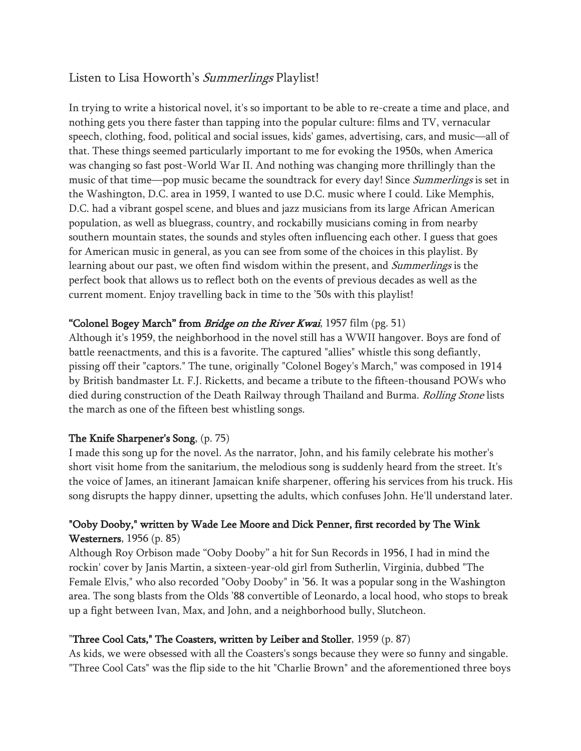# Listen to Lisa Howorth's Summerlings Playlist!

In trying to write a historical novel, it's so important to be able to re-create a time and place, and nothing gets you there faster than tapping into the popular culture: films and TV, vernacular speech, clothing, food, political and social issues, kids' games, advertising, cars, and music—all of that. These things seemed particularly important to me for evoking the 1950s, when America was changing so fast post-World War II. And nothing was changing more thrillingly than the music of that time—pop music became the soundtrack for every day! Since *Summerlings* is set in the Washington, D.C. area in 1959, I wanted to use D.C. music where I could. Like Memphis, D.C. had a vibrant gospel scene, and blues and jazz musicians from its large African American population, as well as bluegrass, country, and rockabilly musicians coming in from nearby southern mountain states, the sounds and styles often influencing each other. I guess that goes for American music in general, as you can see from some of the choices in this playlist. By learning about our past, we often find wisdom within the present, and *Summerlings* is the perfect book that allows us to reflect both on the events of previous decades as well as the current moment. Enjoy travelling back in time to the '50s with this playlist!

# "Colonel Bogey March" from *Bridge on the River Kwai*, 1957 film (pg. 51)

Although it's 1959, the neighborhood in the novel still has a WWII hangover. Boys are fond of battle reenactments, and this is a favorite. The captured "allies" whistle this song defiantly, pissing off their "captors." The tune, originally "Colonel Bogey's March," was composed in 1914 by British bandmaster Lt. F.J. Ricketts, and became a tribute to the fifteen-thousand POWs who died during construction of the Death Railway through Thailand and Burma. Rolling Stone lists the march as one of the fifteen best whistling songs.

# The Knife Sharpener's Song, (p. 75)

I made this song up for the novel. As the narrator, John, and his family celebrate his mother's short visit home from the sanitarium, the melodious song is suddenly heard from the street. It's the voice of James, an itinerant Jamaican knife sharpener, offering his services from his truck. His song disrupts the happy dinner, upsetting the adults, which confuses John. He'll understand later.

# "Ooby Dooby," written by Wade Lee Moore and Dick Penner, first recorded by The Wink Westerners, 1956 (p. 85)

Although Roy Orbison made "Ooby Dooby" a hit for Sun Records in 1956, I had in mind the rockin' cover by Janis Martin, a sixteen-year-old girl from Sutherlin, Virginia, dubbed "The Female Elvis," who also recorded "Ooby Dooby" in '56. It was a popular song in the Washington area. The song blasts from the Olds '88 convertible of Leonardo, a local hood, who stops to break up a fight between Ivan, Max, and John, and a neighborhood bully, Slutcheon.

## "Three Cool Cats," The Coasters, written by Leiber and Stoller, 1959 (p. 87)

As kids, we were obsessed with all the Coasters's songs because they were so funny and singable. "Three Cool Cats" was the flip side to the hit "Charlie Brown" and the aforementioned three boys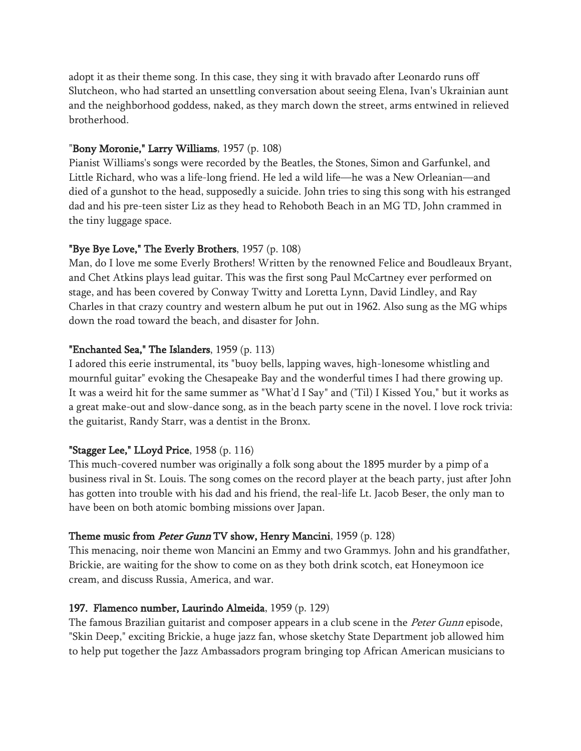adopt it as their theme song. In this case, they sing it with bravado after Leonardo runs off Slutcheon, who had started an unsettling conversation about seeing Elena, Ivan's Ukrainian aunt and the neighborhood goddess, naked, as they march down the street, arms entwined in relieved brotherhood.

#### "Bony Moronie," Larry Williams, 1957 (p. 108)

Pianist Williams's songs were recorded by the Beatles, the Stones, Simon and Garfunkel, and Little Richard, who was a life-long friend. He led a wild life—he was a New Orleanian—and died of a gunshot to the head, supposedly a suicide. John tries to sing this song with his estranged dad and his pre-teen sister Liz as they head to Rehoboth Beach in an MG TD, John crammed in the tiny luggage space.

#### "Bye Bye Love," The Everly Brothers, 1957 (p. 108)

Man, do I love me some Everly Brothers! Written by the renowned Felice and Boudleaux Bryant, and Chet Atkins plays lead guitar. This was the first song Paul McCartney ever performed on stage, and has been covered by Conway Twitty and Loretta Lynn, David Lindley, and Ray Charles in that crazy country and western album he put out in 1962. Also sung as the MG whips down the road toward the beach, and disaster for John.

#### "Enchanted Sea," The Islanders, 1959 (p. 113)

I adored this eerie instrumental, its "buoy bells, lapping waves, high-lonesome whistling and mournful guitar" evoking the Chesapeake Bay and the wonderful times I had there growing up. It was a weird hit for the same summer as "What'd I Say" and ('Til) I Kissed You," but it works as a great make-out and slow-dance song, as in the beach party scene in the novel. I love rock trivia: the guitarist, Randy Starr, was a dentist in the Bronx.

#### "Stagger Lee," LLoyd Price, 1958 (p. 116)

This much-covered number was originally a folk song about the 1895 murder by a pimp of a business rival in St. Louis. The song comes on the record player at the beach party, just after John has gotten into trouble with his dad and his friend, the real-life Lt. Jacob Beser, the only man to have been on both atomic bombing missions over Japan.

#### Theme music from *Peter Gunn* TV show, Henry Mancini, 1959 (p. 128)

This menacing, noir theme won Mancini an Emmy and two Grammys. John and his grandfather, Brickie, are waiting for the show to come on as they both drink scotch, eat Honeymoon ice cream, and discuss Russia, America, and war.

#### 197. Flamenco number, Laurindo Almeida, 1959 (p. 129)

The famous Brazilian guitarist and composer appears in a club scene in the Peter Gunn episode, "Skin Deep," exciting Brickie, a huge jazz fan, whose sketchy State Department job allowed him to help put together the Jazz Ambassadors program bringing top African American musicians to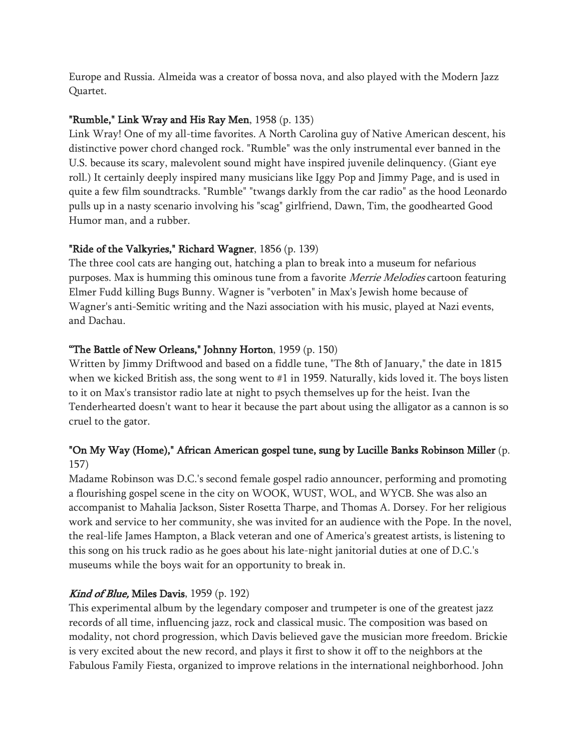Europe and Russia. Almeida was a creator of bossa nova, and also played with the Modern Jazz Quartet.

### "Rumble," Link Wray and His Ray Men, 1958 (p. 135)

Link Wray! One of my all-time favorites. A North Carolina guy of Native American descent, his distinctive power chord changed rock. "Rumble" was the only instrumental ever banned in the U.S. because its scary, malevolent sound might have inspired juvenile delinquency. (Giant eye roll.) It certainly deeply inspired many musicians like Iggy Pop and Jimmy Page, and is used in quite a few film soundtracks. "Rumble" "twangs darkly from the car radio" as the hood Leonardo pulls up in a nasty scenario involving his "scag" girlfriend, Dawn, Tim, the goodhearted Good Humor man, and a rubber.

### "Ride of the Valkyries," Richard Wagner, 1856 (p. 139)

The three cool cats are hanging out, hatching a plan to break into a museum for nefarious purposes. Max is humming this ominous tune from a favorite *Merrie Melodies* cartoon featuring Elmer Fudd killing Bugs Bunny. Wagner is "verboten" in Max's Jewish home because of Wagner's anti-Semitic writing and the Nazi association with his music, played at Nazi events, and Dachau.

### "The Battle of New Orleans," Johnny Horton, 1959 (p. 150)

Written by Jimmy Driftwood and based on a fiddle tune, "The 8th of January," the date in 1815 when we kicked British ass, the song went to #1 in 1959. Naturally, kids loved it. The boys listen to it on Max's transistor radio late at night to psych themselves up for the heist. Ivan the Tenderhearted doesn't want to hear it because the part about using the alligator as a cannon is so cruel to the gator.

# "On My Way (Home)," African American gospel tune, sung by Lucille Banks Robinson Miller (p. 157)

Madame Robinson was D.C.'s second female gospel radio announcer, performing and promoting a flourishing gospel scene in the city on WOOK, WUST, WOL, and WYCB. She was also an accompanist to Mahalia Jackson, Sister Rosetta Tharpe, and Thomas A. Dorsey. For her religious work and service to her community, she was invited for an audience with the Pope. In the novel, the real-life James Hampton, a Black veteran and one of America's greatest artists, is listening to this song on his truck radio as he goes about his late-night janitorial duties at one of D.C.'s museums while the boys wait for an opportunity to break in.

## Kind of Blue, Miles Davis, 1959 (p. 192)

This experimental album by the legendary composer and trumpeter is one of the greatest jazz records of all time, influencing jazz, rock and classical music. The composition was based on modality, not chord progression, which Davis believed gave the musician more freedom. Brickie is very excited about the new record, and plays it first to show it off to the neighbors at the Fabulous Family Fiesta, organized to improve relations in the international neighborhood. John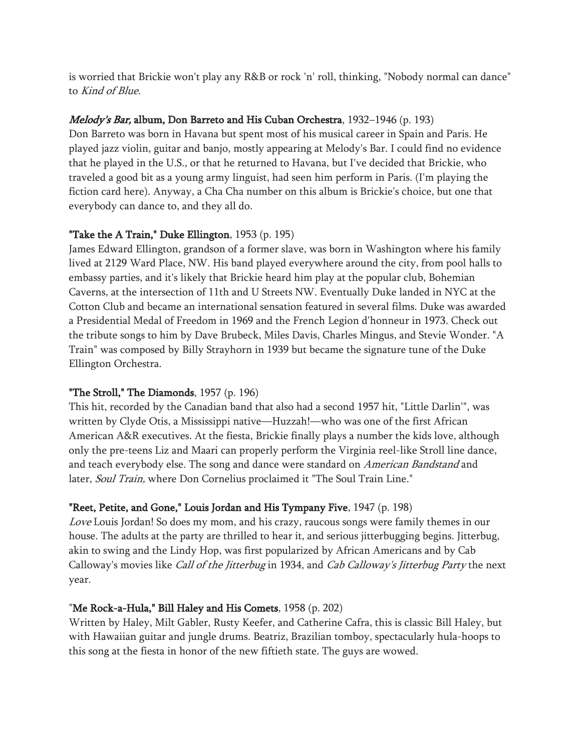is worried that Brickie won't play any R&B or rock 'n' roll, thinking, "Nobody normal can dance" to Kind of Blue.

### Melody's Bar, album, Don Barreto and His Cuban Orchestra, 1932-1946 (p. 193)

Don Barreto was born in Havana but spent most of his musical career in Spain and Paris. He played jazz violin, guitar and banjo, mostly appearing at Melody's Bar. I could find no evidence that he played in the U.S., or that he returned to Havana, but I've decided that Brickie, who traveled a good bit as a young army linguist, had seen him perform in Paris. (I'm playing the fiction card here). Anyway, a Cha Cha number on this album is Brickie's choice, but one that everybody can dance to, and they all do.

## "Take the A Train," Duke Ellington, 1953 (p. 195)

James Edward Ellington, grandson of a former slave, was born in Washington where his family lived at 2129 Ward Place, NW. His band played everywhere around the city, from pool halls to embassy parties, and it's likely that Brickie heard him play at the popular club, Bohemian Caverns, at the intersection of 11th and U Streets NW. Eventually Duke landed in NYC at the Cotton Club and became an international sensation featured in several films. Duke was awarded a Presidential Medal of Freedom in 1969 and the French Legion d'honneur in 1973. Check out the tribute songs to him by Dave Brubeck, Miles Davis, Charles Mingus, and Stevie Wonder. "A Train" was composed by Billy Strayhorn in 1939 but became the signature tune of the Duke Ellington Orchestra.

## "The Stroll," The Diamonds, 1957 (p. 196)

This hit, recorded by the Canadian band that also had a second 1957 hit, "Little Darlin'", was written by Clyde Otis, a Mississippi native—Huzzah!—who was one of the first African American A&R executives. At the fiesta, Brickie finally plays a number the kids love, although only the pre-teens Liz and Maari can properly perform the Virginia reel-like Stroll line dance, and teach everybody else. The song and dance were standard on American Bandstand and later, Soul Train, where Don Cornelius proclaimed it "The Soul Train Line."

## "Reet, Petite, and Gone," Louis Jordan and His Tympany Five, 1947 (p. 198)

Love Louis Jordan! So does my mom, and his crazy, raucous songs were family themes in our house. The adults at the party are thrilled to hear it, and serious jitterbugging begins. Jitterbug, akin to swing and the Lindy Hop, was first popularized by African Americans and by Cab Calloway's movies like Call of the Jitterbug in 1934, and Cab Calloway's Jitterbug Party the next year.

#### "Me Rock-a-Hula," Bill Haley and His Comets, 1958 (p. 202)

Written by Haley, Milt Gabler, Rusty Keefer, and Catherine Cafra, this is classic Bill Haley, but with Hawaiian guitar and jungle drums. Beatriz, Brazilian tomboy, spectacularly hula-hoops to this song at the fiesta in honor of the new fiftieth state. The guys are wowed.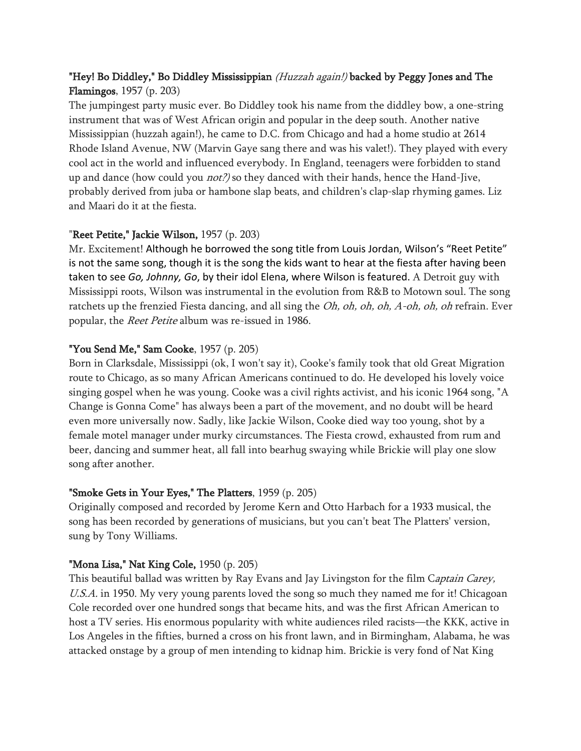# "Hey! Bo Diddley," Bo Diddley Mississippian (Huzzah again!) backed by Peggy Jones and The Flamingos, 1957 (p. 203)

The jumpingest party music ever. Bo Diddley took his name from the diddley bow, a one-string instrument that was of West African origin and popular in the deep south. Another native Mississippian (huzzah again!), he came to D.C. from Chicago and had a home studio at 2614 Rhode Island Avenue, NW (Marvin Gaye sang there and was his valet!). They played with every cool act in the world and influenced everybody. In England, teenagers were forbidden to stand up and dance (how could you *not?)* so they danced with their hands, hence the Hand-Jive, probably derived from juba or hambone slap beats, and children's clap-slap rhyming games. Liz and Maari do it at the fiesta.

# "Reet Petite," Jackie Wilson, 1957 (p. 203)

Mr. Excitement! Although he borrowed the song title from Louis Jordan, Wilson's "Reet Petite" is not the same song, though it is the song the kids want to hear at the fiesta after having been taken to see *Go, Johnny, Go*, by their idol Elena, where Wilson is featured. A Detroit guy with Mississippi roots, Wilson was instrumental in the evolution from R&B to Motown soul. The song ratchets up the frenzied Fiesta dancing, and all sing the *Oh, oh, oh, oh, A-oh, oh, oh* refrain. Ever popular, the Reet Petite album was re-issued in 1986.

# "You Send Me," Sam Cooke, 1957 (p. 205)

Born in Clarksdale, Mississippi (ok, I won't say it), Cooke's family took that old Great Migration route to Chicago, as so many African Americans continued to do. He developed his lovely voice singing gospel when he was young. Cooke was a civil rights activist, and his iconic 1964 song, "A Change is Gonna Come" has always been a part of the movement, and no doubt will be heard even more universally now. Sadly, like Jackie Wilson, Cooke died way too young, shot by a female motel manager under murky circumstances. The Fiesta crowd, exhausted from rum and beer, dancing and summer heat, all fall into bearhug swaying while Brickie will play one slow song after another.

# "Smoke Gets in Your Eyes," The Platters, 1959 (p. 205)

Originally composed and recorded by Jerome Kern and Otto Harbach for a 1933 musical, the song has been recorded by generations of musicians, but you can't beat The Platters' version, sung by Tony Williams.

## "Mona Lisa," Nat King Cole, 1950 (p. 205)

This beautiful ballad was written by Ray Evans and Jay Livingston for the film Captain Carey, U.S.A. in 1950. My very young parents loved the song so much they named me for it! Chicagoan Cole recorded over one hundred songs that became hits, and was the first African American to host a TV series. His enormous popularity with white audiences riled racists—the KKK, active in Los Angeles in the fifties, burned a cross on his front lawn, and in Birmingham, Alabama, he was attacked onstage by a group of men intending to kidnap him. Brickie is very fond of Nat King